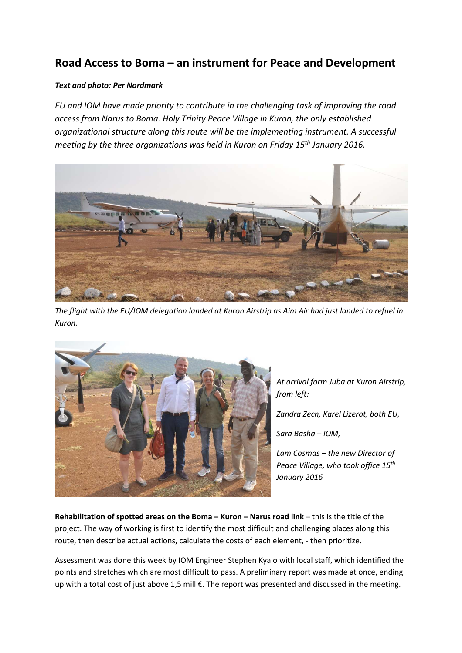## **Road Access to Boma – an instrument for Peace and Development**

## *Text and photo: Per Nordmark*

*EU and IOM have made priority to contribute in the challenging task of improving the road access from Narus to Boma. Holy Trinity Peace Village in Kuron, the only established organizational structure along this route will be the implementing instrument. A successful meeting by the three organizations was held in Kuron on Friday 15th January 2016.* 



*The flight with the EU/IOM delegation landed at Kuron Airstrip as Aim Air had just landed to refuel in Kuron.* 



*At arrival form Juba at Kuron Airstrip, from left:* 

*Zandra Zech, Karel Lizerot, both EU,* 

*Sara Basha – IOM,* 

*Lam Cosmas – the new Director of Peace Village, who took office 15th January 2016* 

**Rehabilitation of spotted areas on the Boma – Kuron – Narus road link** – this is the title of the project. The way of working is first to identify the most difficult and challenging places along this route, then describe actual actions, calculate the costs of each element, - then prioritize.

Assessment was done this week by IOM Engineer Stephen Kyalo with local staff, which identified the points and stretches which are most difficult to pass. A preliminary report was made at once, ending up with a total cost of just above 1,5 mill €. The report was presented and discussed in the meeting.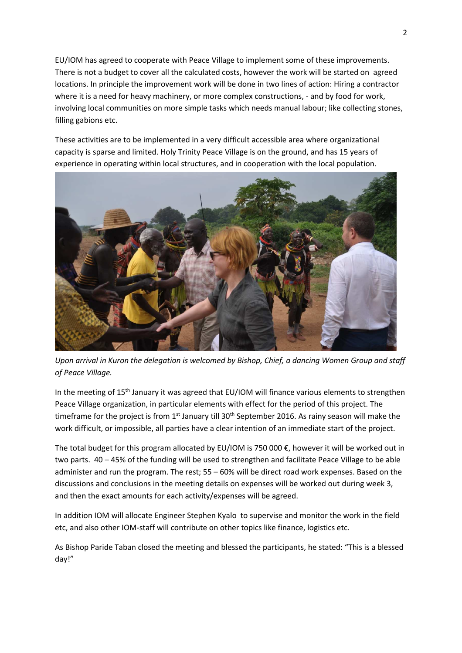EU/IOM has agreed to cooperate with Peace Village to implement some of these improvements. There is not a budget to cover all the calculated costs, however the work will be started on agreed locations. In principle the improvement work will be done in two lines of action: Hiring a contractor where it is a need for heavy machinery, or more complex constructions, - and by food for work, involving local communities on more simple tasks which needs manual labour; like collecting stones, filling gabions etc.

These activities are to be implemented in a very difficult accessible area where organizational capacity is sparse and limited. Holy Trinity Peace Village is on the ground, and has 15 years of experience in operating within local structures, and in cooperation with the local population.



*Upon arrival in Kuron the delegation is welcomed by Bishop, Chief, a dancing Women Group and staff of Peace Village.* 

In the meeting of 15<sup>th</sup> January it was agreed that EU/IOM will finance various elements to strengthen Peace Village organization, in particular elements with effect for the period of this project. The timeframe for the project is from 1<sup>st</sup> January till 30<sup>th</sup> September 2016. As rainy season will make the work difficult, or impossible, all parties have a clear intention of an immediate start of the project.

The total budget for this program allocated by EU/IOM is 750 000 $\epsilon$ , however it will be worked out in two parts. 40 – 45% of the funding will be used to strengthen and facilitate Peace Village to be able administer and run the program. The rest; 55 – 60% will be direct road work expenses. Based on the discussions and conclusions in the meeting details on expenses will be worked out during week 3, and then the exact amounts for each activity/expenses will be agreed.

In addition IOM will allocate Engineer Stephen Kyalo to supervise and monitor the work in the field etc, and also other IOM-staff will contribute on other topics like finance, logistics etc.

As Bishop Paride Taban closed the meeting and blessed the participants, he stated: "This is a blessed day!"